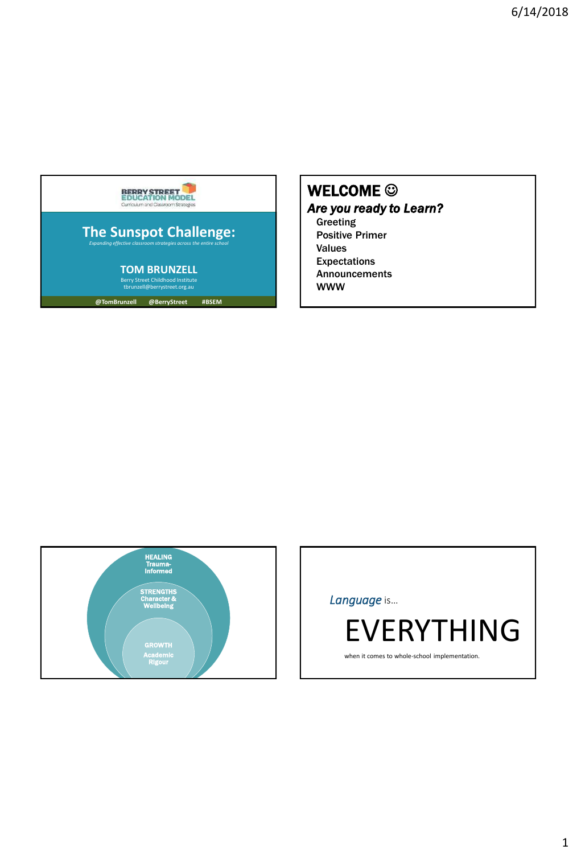

WELCOME<sup>©</sup> *Are you ready to Learn?* Greeting Positive Primer Values Expectations Announcements WWW



## *Language* is…



when it comes to whole-school implementation.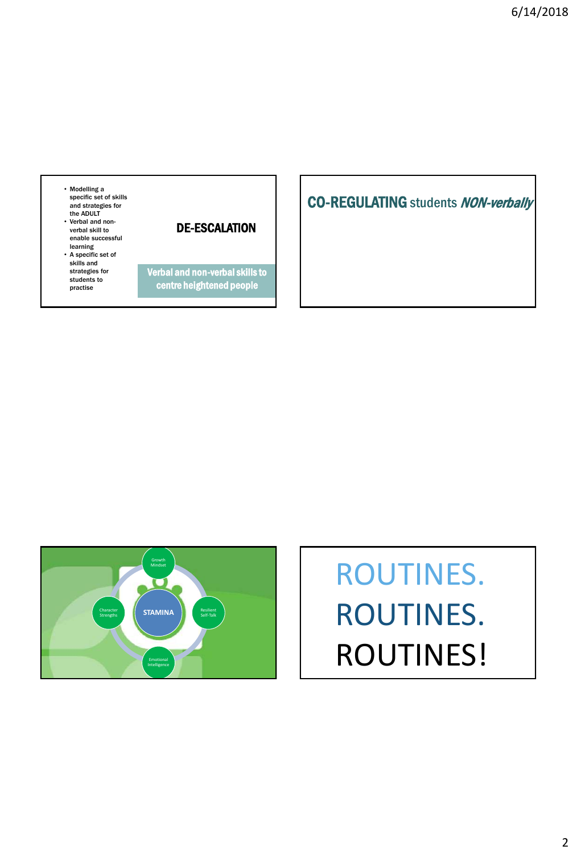• Modelling a specific set of skills and strategies for the ADULT • Verbal and nonverbal skill to enable successful learning • A specific set of skills and strategies for students to practise

## DE-ESCALATION

Verbal and non-verbal skills to centre heightened people

## CO-REGULATING students NON-verbally



## ROUTINES. ROUTINES. ROUTINES!